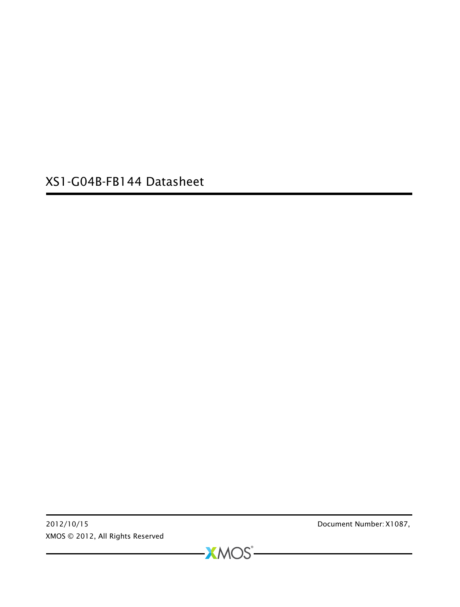XS1-G04B-FB144 Datasheet

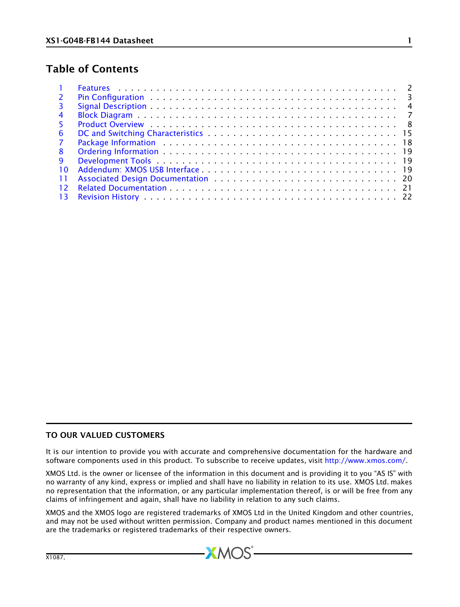## Table of Contents

| $\overline{2}$ |  |
|----------------|--|
| 3              |  |
| $\overline{4}$ |  |
| -5.            |  |
| -6             |  |
| 7              |  |
| -8             |  |
| <b>q</b>       |  |
| 10             |  |
| -11            |  |
| 12             |  |
| -13            |  |

### TO OUR VALUED CUSTOMERS

It is our intention to provide you with accurate and comprehensive documentation for the hardware and software components used in this product. To subscribe to receive updates, visit [http://www.xmos.com/.](http://www.xmos.com/www.xmos.com)

XMOS Ltd. is the owner or licensee of the information in this document and is providing it to you "AS IS" with no warranty of any kind, express or implied and shall have no liability in relation to its use. XMOS Ltd. makes no representation that the information, or any particular implementation thereof, is or will be free from any claims of infringement and again, shall have no liability in relation to any such claims.

XMOS and the XMOS logo are registered trademarks of XMOS Ltd in the United Kingdom and other countries, and may not be used without written permission. Company and product names mentioned in this document are the trademarks or registered trademarks of their respective owners.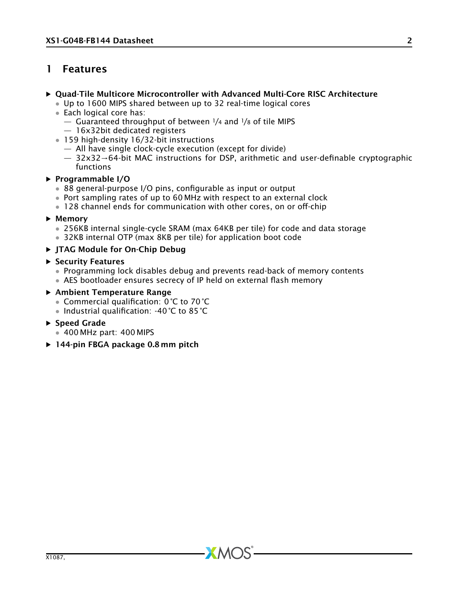## <span id="page-2-0"></span>1 Features

### · Quad-Tile Multicore Microcontroller with Advanced Multi-Core RISC Architecture

- Up to 1600 MIPS shared between up to 32 real-time logical cores
- Each logical core has:
	- $-$  Guaranteed throughput of between  $1/4$  and  $1/8$  of tile MIPS
	- 16x32bit dedicated registers
- 159 high-density 16/32-bit instructions
	- All have single clock-cycle execution (except for divide)
	- 32x32→64-bit MAC instructions for DSP, arithmetic and user-definable cryptographic functions

### · Programmable I/O

- 88 general-purpose I/O pins, configurable as input or output
- Port sampling rates of up to 60 MHz with respect to an external clock
- 128 channel ends for communication with other cores, on or off-chip

### · Memory

- 256KB internal single-cycle SRAM (max 64KB per tile) for code and data storage
- 32KB internal OTP (max 8KB per tile) for application boot code

### · JTAG Module for On-Chip Debug

### · Security Features

• Programming lock disables debug and prevents read-back of memory contents

 $X$ M $(S)$ 

• AES bootloader ensures secrecy of IP held on external flash memory

### · Ambient Temperature Range

- Commercial qualification: 0 °C to 70 °C
- Industrial qualification: -40 °C to 85 °C

### · Speed Grade

- 400 MHz part: 400 MIPS
- ▶ 144-pin FBGA package 0.8 mm pitch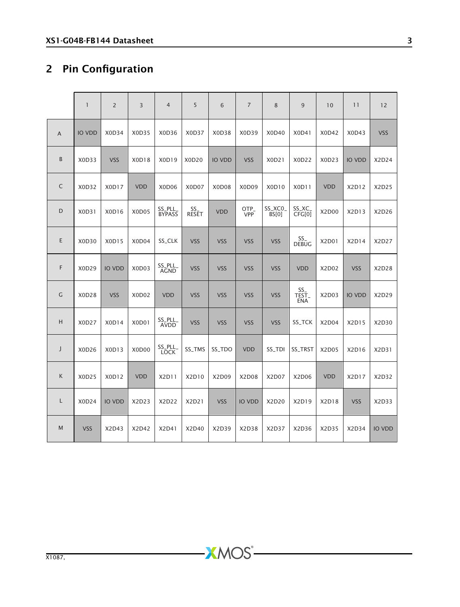# <span id="page-3-0"></span>2 Pin Configuration

|             | $\mathbf{1}$  | $\overline{2}$ | 3          | $\overline{4}$         | 5            | 6             | $\overline{7}$ | 8               | 9                 | 10         | 11            | 12            |
|-------------|---------------|----------------|------------|------------------------|--------------|---------------|----------------|-----------------|-------------------|------------|---------------|---------------|
| A           | <b>IO VDD</b> | X0D34          | X0D35      | X0D36                  | X0D37        | X0D38         | X0D39          | X0D40           | X0D41             | X0D42      | X0D43         | <b>VSS</b>    |
| B           | X0D33         | <b>VSS</b>     | X0D18      | X0D19                  | X0D20        | <b>IO VDD</b> | <b>VSS</b>     | X0D21           | X0D22             | X0D23      | <b>IO VDD</b> | X2D24         |
| $\mathsf C$ | X0D32         | X0D17          | <b>VDD</b> | X0D06                  | X0D07        | X0D08         | X0D09          | X0D10           | X0D11             | <b>VDD</b> | X2D12         | X2D25         |
| D           | X0D31         | X0D16          | X0D05      | SS_PLL_<br>BYPASS      | SS_<br>RESET | <b>VDD</b>    | OTP_<br>VPP    | SS_XCO<br>BS[0] | SS_XC_<br>CFG[0]  | X2D00      | X2D13         | X2D26         |
| Ε           | X0D30         | X0D15          | X0D04      | SS_CLK                 | <b>VSS</b>   | <b>VSS</b>    | <b>VSS</b>     | <b>VSS</b>      | SS_<br>DEBUG      | X2D01      | X2D14         | X2D27         |
| F           | X0D29         | <b>IO VDD</b>  | X0D03      | SS_PLL_<br>AGND        | <b>VSS</b>   | <b>VSS</b>    | <b>VSS</b>     | <b>VSS</b>      | <b>VDD</b>        | X2D02      | <b>VSS</b>    | X2D28         |
| G           | X0D28         | <b>VSS</b>     | X0D02      | <b>VDD</b>             | <b>VSS</b>   | <b>VSS</b>    | <b>VSS</b>     | <b>VSS</b>      | SS<br>TEST<br>ENA | X2D03      | <b>IO VDD</b> | X2D29         |
| H           | X0D27         | X0D14          | X0D01      | SS_PLL_<br><b>AVDD</b> | <b>VSS</b>   | <b>VSS</b>    | <b>VSS</b>     | <b>VSS</b>      | SS_TCK            | X2D04      | X2D15         | X2D30         |
| J           | X0D26         | X0D13          | X0D00      | SS_PLL_<br>LOCK        | SS_TMS       | SS_TDO        | <b>VDD</b>     | SS_TDI          | SS_TRST           | X2D05      | X2D16         | X2D31         |
| К           | X0D25         | X0D12          | <b>VDD</b> | X2D11                  | X2D10        | X2D09         | X2D08          | X2D07           | X2D06             | <b>VDD</b> | X2D17         | X2D32         |
| L           | X0D24         | <b>IO VDD</b>  | X2D23      | X2D22                  | X2D21        | <b>VSS</b>    | <b>IO VDD</b>  | X2D20           | X2D19             | X2D18      | <b>VSS</b>    | X2D33         |
| M           | <b>VSS</b>    | X2D43          | X2D42      | X2D41                  | X2D40        | X2D39         | X2D38          | X2D37           | X2D36             | X2D35      | X2D34         | <b>IO VDD</b> |

-XMOS<sup>®</sup>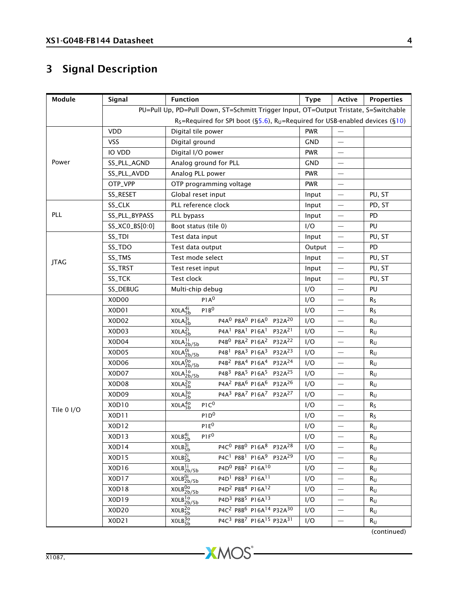# <span id="page-4-0"></span>3 Signal Description

| Module      | Signal         | <b>Function</b>                                                                                               | <b>Type</b> | Active                   | <b>Properties</b> |
|-------------|----------------|---------------------------------------------------------------------------------------------------------------|-------------|--------------------------|-------------------|
|             |                | PU=Pull Up, PD=Pull Down, ST=Schmitt Trigger Input, OT=Output Tristate, S=Switchable                          |             |                          |                   |
|             |                | $R_S$ =Required for SPI boot (§5.6), $R_U$ =Required for USB-enabled devices (§10)                            |             |                          |                   |
|             | <b>VDD</b>     | Digital tile power                                                                                            | <b>PWR</b>  |                          |                   |
|             | <b>VSS</b>     | Digital ground                                                                                                | <b>GND</b>  | $\overline{\phantom{0}}$ |                   |
|             | IO VDD         | Digital I/O power                                                                                             | <b>PWR</b>  | $\qquad \qquad -$        |                   |
| Power       | SS_PLL_AGND    | Analog ground for PLL                                                                                         | <b>GND</b>  | $\overline{\phantom{0}}$ |                   |
|             | SS_PLL_AVDD    | Analog PLL power                                                                                              | <b>PWR</b>  | $\qquad \qquad -$        |                   |
|             | OTP_VPP        | OTP programming voltage                                                                                       | <b>PWR</b>  |                          |                   |
|             | SS_RESET       | Global reset input                                                                                            | Input       |                          | PU, ST            |
|             | SS_CLK         | PLL reference clock                                                                                           | Input       | $\qquad \qquad -$        | PD, ST            |
| PLL         | SS_PLL_BYPASS  | PLL bypass                                                                                                    | Input       |                          | PD                |
|             | SS_XC0_BS[0:0] | Boot status (tile 0)                                                                                          | I/O         | $\qquad \qquad -$        | PU                |
|             | SS_TDI         | Test data input                                                                                               | Input       |                          | PU, ST            |
|             | SS_TDO         | Test data output                                                                                              | Output      | $\overline{\phantom{0}}$ | PD                |
| <b>JTAG</b> | SS_TMS         | Test mode select                                                                                              | Input       |                          | PU, ST            |
|             | SS_TRST        | Test reset input                                                                                              | Input       |                          | PU, ST            |
|             | SS_TCK         | Test clock                                                                                                    | Input       |                          | PU, ST            |
|             | SS_DEBUG       | Multi-chip debug                                                                                              | I/O         |                          | PU                |
|             | X0D00          | P1A <sup>0</sup>                                                                                              | I/O         | $\overline{\phantom{0}}$ | $R_{S}$           |
|             | X0D01          | XOLA <sub>5b</sub> <sup>4i</sup><br>P1B <sup>0</sup>                                                          | I/O         |                          | $R_S$             |
|             | X0D02          | P4A <sup>0</sup> P8A <sup>0</sup> P16A <sup>0</sup> P32A <sup>20</sup><br>XOLA <sub>5b</sub> <sup>3i</sup>    | I/O         | $\qquad \qquad -$        | $R_{U}$           |
|             | X0D03          | P4A <sup>1</sup> P8A <sup>1</sup> P16A <sup>1</sup> P32A <sup>21</sup><br>XOLA <sub>5b</sub> <sup>2i</sup>    | I/O         |                          | Ru                |
|             | X0D04          | P4B <sup>0</sup> P8A <sup>2</sup> P16A <sup>2</sup> P32A <sup>22</sup><br>XOLA <sub>2b/5b</sub>               | I/O         |                          | R <sub>U</sub>    |
|             | X0D05          | XOLA <sub>2b/5b</sub> <sup>0i</sup><br>P4B <sup>1</sup> P8A <sup>3</sup> P16A <sup>3</sup> P32A <sup>23</sup> | I/O         | $\overline{\phantom{0}}$ | $R_{U}$           |
|             | X0D06          | XOLA <sub>2b/5b</sub> <sup>0</sup><br>P4B <sup>2</sup> P8A <sup>4</sup> P16A <sup>4</sup> P32A <sup>24</sup>  | I/O         |                          | $R_{U}$           |
|             | X0D07          | P4B3 P8A <sup>5</sup> P16A <sup>5</sup> P32A <sup>25</sup><br>XOLA <sub>2b/5b</sub>                           | I/O         | $\qquad \qquad -$        | $R_{U}$           |
|             | X0D08          | P4A <sup>2</sup> P8A <sup>6</sup> P16A <sup>6</sup> P32A <sup>26</sup><br>XOLA <sub>5b</sub> <sup>2o</sup>    | I/O         | $\overline{\phantom{0}}$ | $R_{U}$           |
|             | X0D09          | P4A3 P8A7 P16A7 P32A27<br>XOLA <sub>5b</sub> <sup>3o</sup>                                                    | I/O         |                          | $R_{U}$           |
| Tile 0 I/O  | X0D10          | XOLA <sub>5b</sub> <sup>40</sup><br>P1C <sup>0</sup>                                                          | I/O         |                          | Rs                |
|             | X0D11          | P1D <sup>0</sup>                                                                                              | I/O         | $\qquad \qquad -$        | $R_S$             |
|             | X0D12          | $P1E^0$                                                                                                       | I/O         |                          | $R_{U}$           |
|             | X0D13          | XOLB <sub>5b</sub> <sup>4i</sup><br>P1F <sup>0</sup>                                                          | I/O         |                          | $R_U$             |
|             | X0D14          | P4C <sup>0</sup> P8B <sup>0</sup> P16A <sup>8</sup> P32A <sup>28</sup><br>XOLB <sub>5h</sub> <sup>3i</sup>    | I/O         |                          | $R_{U}$           |
|             | X0D15          | P4C <sup>1</sup> P8B <sup>1</sup> P16A <sup>9</sup> P32A <sup>29</sup><br>XOLB <sub>5b</sub> <sup>2i</sup>    | I/O         |                          | R <sub>U</sub>    |
|             | X0D16          | P4D <sup>0</sup> P8B <sup>2</sup> P16A <sup>10</sup><br>$\overline{XOLB}_{2b/5b}^{1i}$                        | I/O         | $\overline{\phantom{m}}$ | R <sub>U</sub>    |
|             | X0D17          | P4D <sup>1</sup> P8B <sup>3</sup> P16A <sup>11</sup><br>XOLB <sub>2b/5b</sub>                                 | I/O         | $\qquad \qquad -$        | $R_U$             |
|             | X0D18          | XOLB <sub>2b/5b</sub> <sup>0</sup><br>P4D <sup>2</sup> P8B <sup>4</sup> P16A <sup>12</sup>                    | I/O         | $\overline{\phantom{0}}$ | $R_U$             |
|             | X0D19          | P4D <sup>3</sup> P8B <sup>5</sup> P16A <sup>13</sup><br>XOLB <sup>10</sup> <sub>2b/5b</sub>                   | I/O         | $\overline{\phantom{0}}$ | $R_{U}$           |
|             | X0D20          | P4C <sup>2</sup> P8B <sup>6</sup> P16A <sup>14</sup> P32A <sup>30</sup><br>XOLB <sub>5b</sub> <sup>20</sup>   | I/O         |                          | $R_{U}$           |
|             | X0D21          | P4C <sup>3</sup> P8B <sup>7</sup> P16A <sup>15</sup> P32A <sup>31</sup><br>XOLB <sub>5b</sub> <sup>3o</sup>   | I/O         | $\qquad \qquad -$        | $R_{U}$           |

(continued)

**XMOS**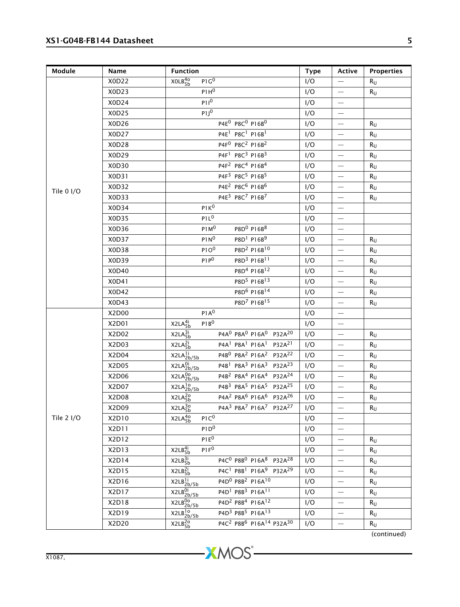### XS1-G04B-FB144 Datasheet 5

| Module     | Name  | <b>Function</b>                                                                                               | Type | Active                   | <b>Properties</b> |
|------------|-------|---------------------------------------------------------------------------------------------------------------|------|--------------------------|-------------------|
|            | X0D22 | XOLB <sub>5b</sub> <sup>40</sup><br>P1G <sup>0</sup>                                                          | I/O  |                          | R <sub>U</sub>    |
|            | X0D23 | $P1H^0$                                                                                                       | I/O  | $\qquad \qquad -$        | $R_U$             |
|            | X0D24 | $P11^0$                                                                                                       | I/O  | $\frac{1}{2}$            |                   |
|            | X0D25 | $P1J^0$                                                                                                       | I/O  | $\qquad \qquad -$        |                   |
|            | X0D26 | P4E <sup>0</sup> P8C <sup>0</sup> P16B <sup>0</sup>                                                           | I/O  | $\qquad \qquad -$        | $R_{U}$           |
|            | X0D27 | P4E <sup>1</sup> P8C <sup>1</sup> P16B <sup>1</sup>                                                           | I/O  | $\overline{\phantom{m}}$ | $R_U$             |
|            | X0D28 | P4F <sup>0</sup> P8C <sup>2</sup> P16B <sup>2</sup>                                                           | I/O  |                          | $R_{U}$           |
|            | X0D29 | P4F <sup>1</sup> P8C <sup>3</sup> P16B <sup>3</sup>                                                           | I/O  | $\overline{\phantom{0}}$ | $R_{U}$           |
|            | X0D30 | P4F <sup>2</sup> P8C <sup>4</sup> P16B <sup>4</sup>                                                           | I/O  | $\overline{\phantom{0}}$ | $R_U$             |
|            | X0D31 | P4F3 P8C5 P16B5                                                                                               | I/O  | $\overline{\phantom{m}}$ | Ru                |
| Tile 0 I/O | X0D32 | P4E <sup>2</sup> P8C <sup>6</sup> P16B <sup>6</sup>                                                           | I/O  | $\overline{\phantom{m}}$ | R <sub>U</sub>    |
|            | X0D33 | P4E3 P8C7 P16B7                                                                                               | I/O  | $\qquad \qquad -$        | R <sub>U</sub>    |
|            | X0D34 | P1K <sup>0</sup>                                                                                              | I/O  | $\overline{\phantom{m}}$ |                   |
|            | X0D35 | P1L <sup>0</sup>                                                                                              | I/O  | $\frac{1}{2}$            |                   |
|            | X0D36 | P1M <sup>0</sup><br>P8D <sup>0</sup> P16B <sup>8</sup>                                                        | I/O  | $\overline{\phantom{m}}$ |                   |
|            | X0D37 | P1N <sup>0</sup><br>$P8D1$ $P16B9$                                                                            | I/O  |                          | Ru                |
|            | X0D38 | P1O <sup>0</sup><br>P8D <sup>2</sup> P16B <sup>10</sup>                                                       | I/O  | $\overline{\phantom{0}}$ | $R_{\rm U}$       |
|            | X0D39 | P8D <sup>3</sup> P16B <sup>11</sup><br>$P1P^0$                                                                | I/O  | $\overline{\phantom{m}}$ | $R_{U}$           |
|            | X0D40 | P8D <sup>4</sup> P16B <sup>12</sup>                                                                           | I/O  | $\overline{\phantom{m}}$ | $R_U$             |
|            | X0D41 | P8D <sup>5</sup> P16B <sup>13</sup>                                                                           | I/O  | $\overline{\phantom{0}}$ | $R_{U}$           |
|            | X0D42 | P8D <sup>6</sup> P16B <sup>14</sup>                                                                           | I/O  | $\qquad \qquad -$        | $R_U$             |
|            | X0D43 | P8D <sup>7</sup> P16B <sup>15</sup>                                                                           | I/O  |                          | Ru                |
|            | X2D00 | P1A <sup>0</sup>                                                                                              | I/O  | $\overline{\phantom{m}}$ |                   |
|            | X2D01 | X2LA <sub>5b</sub> <sup>4i</sup><br>$P1B^0$                                                                   | I/O  | $\overline{\phantom{m}}$ |                   |
|            | X2D02 | P4A <sup>0</sup> P8A <sup>0</sup> P16A <sup>0</sup> P32A <sup>20</sup><br>X2LA <sub>5b</sub> <sup>3i</sup>    | I/O  | $\qquad \qquad -$        | $R_{U}$           |
|            | X2D03 | P4A <sup>1</sup> P8A <sup>1</sup> P16A <sup>1</sup> P32A <sup>21</sup><br>X2LA <sub>5b</sub> <sup>2i</sup>    | I/O  | $\overline{\phantom{a}}$ | $R_U$             |
|            | X2D04 | P4B <sup>0</sup> P8A <sup>2</sup> P16A <sup>2</sup> P32A <sup>22</sup><br>X2LA <sub>2b/5b</sub>               | I/O  |                          | Ru                |
|            | X2D05 | X2LA <sub>2b/5b</sub><br>P4B <sup>1</sup> P8A <sup>3</sup> P16A <sup>3</sup> P32A <sup>23</sup>               | I/O  | $\overline{\phantom{0}}$ | Ru                |
|            | X2D06 | X2LA <sub>2b/5b</sub> <sup>00</sup><br>P4B <sup>2</sup> P8A <sup>4</sup> P16A <sup>4</sup> P32A <sup>24</sup> | I/O  |                          | $R_U$             |
|            | X2D07 | P4B3 P8A5 P16A5 P32A25<br>X2LA <sub>2b/5b</sub>                                                               | I/O  | $\overline{\phantom{0}}$ | $R_{U}$           |
|            | X2D08 | P4A <sup>2</sup> P8A <sup>6</sup> P16A <sup>6</sup> P32A <sup>26</sup><br>X2LA <sub>5b</sub> <sup>2o</sup>    | I/O  | $\overline{\phantom{0}}$ | $R_{U}$           |
|            | X2D09 | P4A <sup>3</sup> P8A <sup>7</sup> P16A <sup>7</sup> P32A <sup>27</sup><br>X2LA <sub>5b</sub> <sup>3o</sup>    | I/O  |                          | $R_U$             |
| Tile 2 I/O | X2D10 | X2LA <sub>5b</sub> <sup>40</sup><br>$P1C^0$                                                                   | I/O  |                          |                   |
|            | X2D11 | P1D <sup>0</sup>                                                                                              | I/O  | $\overline{\phantom{0}}$ |                   |
|            | X2D12 | $P1E^0$                                                                                                       | I/O  | $\overline{\phantom{m}}$ | $R_U$             |
|            | X2D13 | X2LB <sub>5h</sub> <sup>4i</sup><br>$P1F^0$                                                                   | I/O  |                          | $R_{U}$           |
|            | X2D14 | P4C <sup>0</sup> P8B <sup>0</sup> P16A <sup>8</sup> P32A <sup>28</sup><br>X2LB <sub>5b</sub> <sup>3i</sup>    | I/O  | $\overline{\phantom{m}}$ | $R_{\mathsf{U}}$  |
|            | X2D15 | P4C <sup>1</sup> P8B <sup>1</sup> P16A <sup>9</sup> P32A <sup>29</sup><br>X2LB <sub>5b</sub> <sup>2i</sup>    | I/O  | $\overline{\phantom{m}}$ | $R_U$             |
|            | X2D16 | P4D <sup>0</sup> P8B <sup>2</sup> P16A <sup>10</sup><br>X2LB <sub>2b/5b</sub>                                 | I/O  |                          | Ru                |
|            | X2D17 | X2LB <sub>2b/5b</sub><br>P4D <sup>1</sup> P8B <sup>3</sup> P16A <sup>11</sup>                                 | I/O  | $\overline{\phantom{m}}$ | $R_U$             |
|            | X2D18 | P4D <sup>2</sup> P8B <sup>4</sup> P16A <sup>12</sup><br>X2LB <sub>2b/5b</sub>                                 | I/O  | $\overline{\phantom{0}}$ | $R_{U}$           |
|            | X2D19 | P4D <sup>3</sup> P8B <sup>5</sup> P16A <sup>13</sup><br>X2LB <sub>2b/5b</sub>                                 | I/O  | $\qquad \qquad$          | R <sub>U</sub>    |
|            | X2D20 | P4C <sup>2</sup> P8B <sup>6</sup> P16A <sup>14</sup> P32A <sup>30</sup><br>X2LB <sub>5b</sub> <sup>2o</sup>   | I/O  |                          | R <sub>U</sub>    |

(continued)

-XMOS<sup>®</sup>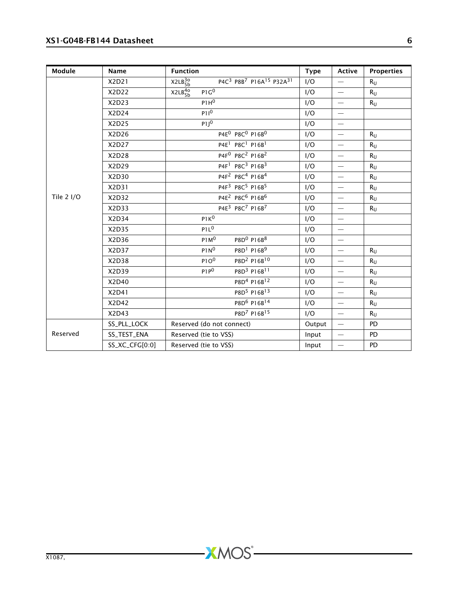### XS1-G04B-FB144 Datasheet 6

| Module     | Name           | <b>Function</b>                                                                                             | <b>Type</b> | Active                   | <b>Properties</b> |
|------------|----------------|-------------------------------------------------------------------------------------------------------------|-------------|--------------------------|-------------------|
|            | X2D21          | X2LB <sub>5b</sub> <sup>3o</sup><br>P4C <sup>3</sup> P8B <sup>7</sup> P16A <sup>15</sup> P32A <sup>31</sup> | I/O         | $\overline{\phantom{0}}$ | $R_{\rm U}$       |
|            | X2D22          | X2LB <sub>5b</sub> <sup>4o</sup><br>P1G <sup>0</sup>                                                        | I/O         | $\overline{\phantom{m}}$ | $R_{U}$           |
|            | X2D23          | P1H <sup>0</sup>                                                                                            | I/O         | $\overline{\phantom{m}}$ | $R_{U}$           |
|            | X2D24          | $P11^0$                                                                                                     | I/O         | $\overline{\phantom{m}}$ |                   |
|            | X2D25          | $P1J^0$                                                                                                     | I/O         |                          |                   |
|            | X2D26          | P4E <sup>0</sup> P8C <sup>0</sup> P16B <sup>0</sup>                                                         | I/O         | $\overline{\phantom{m}}$ | $R_{11}$          |
|            | X2D27          | P4E <sup>1</sup> P8C <sup>1</sup> P16B <sup>1</sup>                                                         | I/O         | $\overline{\phantom{m}}$ | $R_{\text{U}}$    |
|            | X2D28          | P4F <sup>0</sup> P8C <sup>2</sup> P16B <sup>2</sup>                                                         | I/O         |                          | $R_{\rm U}$       |
|            | X2D29          | P4F <sup>1</sup> P8C <sup>3</sup> P16B <sup>3</sup>                                                         | I/O         | $\overline{\phantom{m}}$ | $R_{\rm U}$       |
|            | X2D30          | P4F <sup>2</sup> P8C <sup>4</sup> P16B <sup>4</sup>                                                         | I/O         | $\overline{\phantom{m}}$ | $R_{U}$           |
|            | X2D31          | P4F <sup>3</sup> P8C <sup>5</sup> P16B <sup>5</sup>                                                         | I/O         | $\overline{\phantom{m}}$ | $R_{U}$           |
| Tile 2 I/O | X2D32          | P4E <sup>2</sup> P8C <sup>6</sup> P16B <sup>6</sup>                                                         | I/O         |                          | $R_{\rm U}$       |
|            | X2D33          | P4E3 P8C7 P16B7                                                                                             | I/O         | $\overline{\phantom{m}}$ | $R_{U}$           |
|            | X2D34          | P1K <sup>0</sup>                                                                                            | I/O         | $\qquad \qquad -$        |                   |
|            | X2D35          | P1L <sup>0</sup>                                                                                            | I/O         |                          |                   |
|            | X2D36          | P1M <sup>0</sup><br>P8D <sup>0</sup> P16B <sup>8</sup>                                                      | I/O         | $\qquad \qquad -$        |                   |
|            | X2D37          | P8D <sup>1</sup> P16B <sup>9</sup><br>P1N <sup>0</sup>                                                      | I/O         | $\overline{\phantom{m}}$ | $R_{\rm U}$       |
|            | X2D38          | P8D <sup>2</sup> P16B <sup>10</sup><br>P1O <sup>0</sup>                                                     | I/O         | $\overline{\phantom{m}}$ | $R_{\text{U}}$    |
|            | X2D39          | $P1P^0$<br>P8D <sup>3</sup> P16B <sup>11</sup>                                                              | I/O         |                          | $R_{U}$           |
|            | X2D40          | P8D <sup>4</sup> P16B <sup>12</sup>                                                                         | I/O         | $\overline{\phantom{m}}$ | $R_{\rm U}$       |
|            | X2D41          | P8D <sup>5</sup> P16B <sup>13</sup>                                                                         | I/O         | $\overline{\phantom{m}}$ | $R_{U}$           |
|            | X2D42          | P8D <sup>6</sup> P16B <sup>14</sup>                                                                         | I/O         |                          | $R_{U}$           |
|            | X2D43          | P8D <sup>7</sup> P16B <sup>15</sup>                                                                         | I/O         | $\overline{\phantom{m}}$ | $R_{\rm U}$       |
|            | SS_PLL_LOCK    | Reserved (do not connect)                                                                                   | Output      | $\overline{\phantom{m}}$ | <b>PD</b>         |
| Reserved   | SS_TEST_ENA    | Reserved (tie to VSS)                                                                                       | Input       | $\overline{\phantom{m}}$ | PD                |
|            | SS_XC_CFG[0:0] | Reserved (tie to VSS)                                                                                       | Input       | $\overline{\phantom{0}}$ | <b>PD</b>         |

-XMOS<sup>®</sup>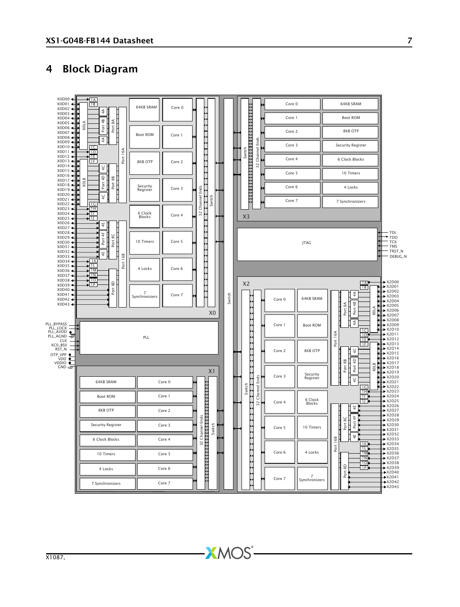### <span id="page-7-0"></span>4 Block Diagram

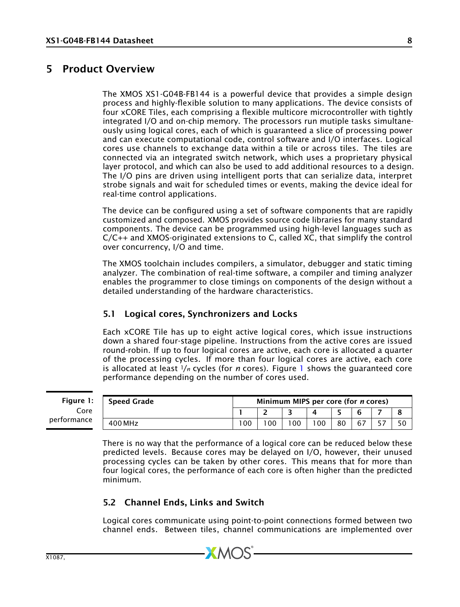### 5 Product Overview

<span id="page-8-0"></span>The XMOS XS1-G04B-FB144 is a powerful device that provides a simple design process and highly-flexible solution to many applications. The device consists of four xCORE Tiles, each comprising a flexible multicore microcontroller with tightly integrated I/O and on-chip memory. The processors run mutiple tasks simultaneously using logical cores, each of which is guaranteed a slice of processing power and can execute computational code, control software and I/O interfaces. Logical cores use channels to exchange data within a tile or across tiles. The tiles are connected via an integrated switch network, which uses a proprietary physical layer protocol, and which can also be used to add additional resources to a design. The I/O pins are driven using intelligent ports that can serialize data, interpret strobe signals and wait for scheduled times or events, making the device ideal for real-time control applications.

The device can be configured using a set of software components that are rapidly customized and composed. XMOS provides source code libraries for many standard components. The device can be programmed using high-level languages such as C/C++ and XMOS-originated extensions to C, called XC, that simplify the control over concurrency, I/O and time.

The XMOS toolchain includes compilers, a simulator, debugger and static timing analyzer. The combination of real-time software, a compiler and timing analyzer enables the programmer to close timings on components of the design without a detailed understanding of the hardware characteristics.

### <span id="page-8-4"></span><span id="page-8-3"></span>5.1 Logical cores, Synchronizers and Locks

Each xCORE Tile has up to eight active logical cores, which issue instructions down a shared four-stage pipeline. Instructions from the active cores are issued round-robin. If up to four logical cores are active, each core is allocated a quarter of the processing cycles. If more than four logical cores are active, each core is allocated at least <sup>1</sup>/*<sup>n</sup>* cycles (for *n* cores). Figure [1](#page-8-5) shows the guaranteed core performance depending on the number of cores used.

<span id="page-8-5"></span>**Figur**  $\mathsf{C}$ performa

| r <b>e 1:</b> | Speed Grade |     | Minimum MIPS per core (for <i>n</i> cores) |                |    |    |  |
|---------------|-------------|-----|--------------------------------------------|----------------|----|----|--|
| Eore          |             |     |                                            |                |    |    |  |
| ınce          | 400 MHz     | 100 |                                            | 0 <sub>0</sub> | 80 | 67 |  |

There is no way that the performance of a logical core can be reduced below these predicted levels. Because cores may be delayed on I/O, however, their unused processing cycles can be taken by other cores. This means that for more than four logical cores, the performance of each core is often higher than the predicted minimum.

### <span id="page-8-2"></span><span id="page-8-1"></span>5.2 Channel Ends, Links and Switch

Logical cores communicate using point-to-point connections formed between two channel ends. Between tiles, channel communications are implemented over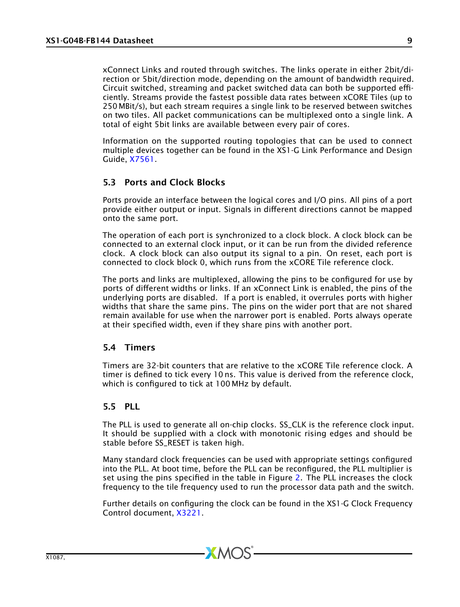xConnect Links and routed through switches. The links operate in either 2bit/direction or 5bit/direction mode, depending on the amount of bandwidth required. Circuit switched, streaming and packet switched data can both be supported efficiently. Streams provide the fastest possible data rates between xCORE Tiles (up to 250 MBit/s), but each stream requires a single link to be reserved between switches on two tiles. All packet communications can be multiplexed onto a single link. A total of eight 5bit links are available between every pair of cores.

Information on the supported routing topologies that can be used to connect multiple devices together can be found in the XS1-G Link Performance and Design Guide, [X7561.](http://www.xmos.com/published/xs1g_links)

### <span id="page-9-2"></span><span id="page-9-0"></span>5.3 Ports and Clock Blocks

Ports provide an interface between the logical cores and I/O pins. All pins of a port provide either output or input. Signals in different directions cannot be mapped onto the same port.

The operation of each port is synchronized to a clock block. A clock block can be connected to an external clock input, or it can be run from the divided reference clock. A clock block can also output its signal to a pin. On reset, each port is connected to clock block 0, which runs from the xCORE Tile reference clock.

The ports and links are multiplexed, allowing the pins to be configured for use by ports of different widths or links. If an xConnect Link is enabled, the pins of the underlying ports are disabled. If a port is enabled, it overrules ports with higher widths that share the same pins. The pins on the wider port that are not shared remain available for use when the narrower port is enabled. Ports always operate at their specified width, even if they share pins with another port.

### <span id="page-9-1"></span>5.4 Timers

Timers are 32-bit counters that are relative to the xCORE Tile reference clock. A timer is defined to tick every 10 ns. This value is derived from the reference clock, which is configured to tick at 100 MHz by default.

### 5.5 PLL

The PLL is used to generate all on-chip clocks. SS\_CLK is the reference clock input. It should be supplied with a clock with monotonic rising edges and should be stable before SS\_RESET is taken high.

Many standard clock frequencies can be used with appropriate settings configured into the PLL. At boot time, before the PLL can be reconfigured, the PLL multiplier is set using the pins specified in the table in Figure [2.](#page-10-2) The PLL increases the clock frequency to the tile frequency used to run the processor data path and the switch.

Further details on configuring the clock can be found in the XS1-G Clock Frequency Control document, [X3221.](http://www.xmos.com/published/xs1g_clk)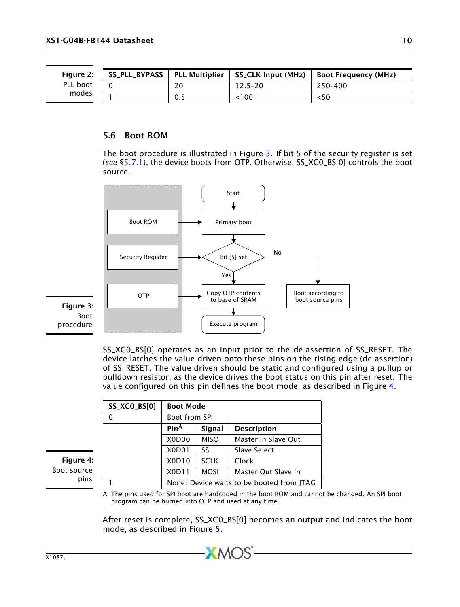<span id="page-10-2"></span>SS\_PLL\_BYPASS PLL\_Multiplier SS\_CLK Input (MHz) Boot Frequency (MHz) 0 20 12.5–20 250–400 1 0.5 <100 <50 Figure 2: PLL boot modes

#### <span id="page-10-1"></span><span id="page-10-0"></span>5.6 Boot ROM

The boot procedure is illustrated in Figure [3.](#page-10-3) If bit 5 of the security register is set (*see* [§5.7.1\)](#page-11-3), the device boots from OTP. Otherwise, SS\_XC0\_BS[0] controls the boot source.



<span id="page-10-3"></span>SS\_XC0\_BS[0] operates as an input prior to the de-assertion of SS\_RESET. The device latches the value driven onto these pins on the rising edge (de-assertion) of SS\_RESET. The value driven should be static and configured using a pullup or pulldown resistor, as the device drives the boot status on this pin after reset. The value configured on this pin defines the boot mode, as described in Figure [4.](#page-10-4)

| <b>SS_XCO_BS[0]</b> | <b>Boot Mode</b>                          |             |                     |  |  |  |  |  |  |  |  |
|---------------------|-------------------------------------------|-------------|---------------------|--|--|--|--|--|--|--|--|
| 0                   | Boot from SPI                             |             |                     |  |  |  |  |  |  |  |  |
|                     | Pin <sup>A</sup>                          | Signal      | <b>Description</b>  |  |  |  |  |  |  |  |  |
|                     | X <sub>0</sub> D <sub>00</sub>            | <b>MISO</b> | Master In Slave Out |  |  |  |  |  |  |  |  |
|                     | X <sub>0</sub> D <sub>0</sub> 1           | SS          | Slave Select        |  |  |  |  |  |  |  |  |
|                     | X0D10                                     | <b>SCLK</b> | Clock               |  |  |  |  |  |  |  |  |
|                     | X0D11                                     | <b>MOSI</b> | Master Out Slave In |  |  |  |  |  |  |  |  |
|                     | None: Device waits to be booted from JTAG |             |                     |  |  |  |  |  |  |  |  |

A The pins used for SPI boot are hardcoded in the boot ROM and cannot be changed. An SPI boot program can be burned into OTP and used at any time.

After reset is complete, SS\_XC0\_BS[0] becomes an output and indicates the boot mode, as described in Figure [5.](#page-11-4)

<span id="page-10-4"></span>Figure 4: Boot source pins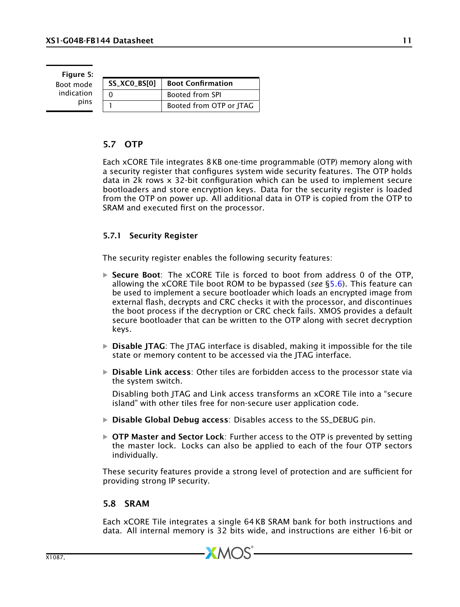<span id="page-11-4"></span>Figure 5: Boot mode indication pins

| SS_XCO_BS[0] | <b>Boot Confirmation</b> |
|--------------|--------------------------|
|              | <b>Booted from SPI</b>   |
|              | Booted from OTP or JTAG  |

### <span id="page-11-2"></span><span id="page-11-1"></span>5.7 OTP

Each xCORE Tile integrates 8 KB one-time programmable (OTP) memory along with a security register that configures system wide security features. The OTP holds data in 2k rows x 32-bit configuration which can be used to implement secure bootloaders and store encryption keys. Data for the security register is loaded from the OTP on power up. All additional data in OTP is copied from the OTP to SRAM and executed first on the processor.

### <span id="page-11-3"></span>5.7.1 Security Register

The security register enables the following security features:

- $\triangleright$  Secure Boot: The xCORE Tile is forced to boot from address 0 of the OTP, allowing the xCORE Tile boot ROM to be bypassed (*see* [§5.6\)](#page-10-0). This feature can be used to implement a secure bootloader which loads an encrypted image from external flash, decrypts and CRC checks it with the processor, and discontinues the boot process if the decryption or CRC check fails. XMOS provides a default secure bootloader that can be written to the OTP along with secret decryption keys.
- $\triangleright$  Disable JTAG: The JTAG interface is disabled, making it impossible for the tile state or memory content to be accessed via the JTAG interface.
- $\triangleright$  **Disable Link access:** Other tiles are forbidden access to the processor state via the system switch.

Disabling both JTAG and Link access transforms an xCORE Tile into a "secure island" with other tiles free for non-secure user application code.

- · Disable Global Debug access: Disables access to the SS\_DEBUG pin.
- $\triangleright$  OTP Master and Sector Lock: Further access to the OTP is prevented by setting the master lock. Locks can also be applied to each of the four OTP sectors individually.

These security features provide a strong level of protection and are sufficient for providing strong IP security.

#### <span id="page-11-5"></span><span id="page-11-0"></span>5.8 SRAM

Each xCORE Tile integrates a single 64 KB SRAM bank for both instructions and data. All internal memory is 32 bits wide, and instructions are either 16-bit or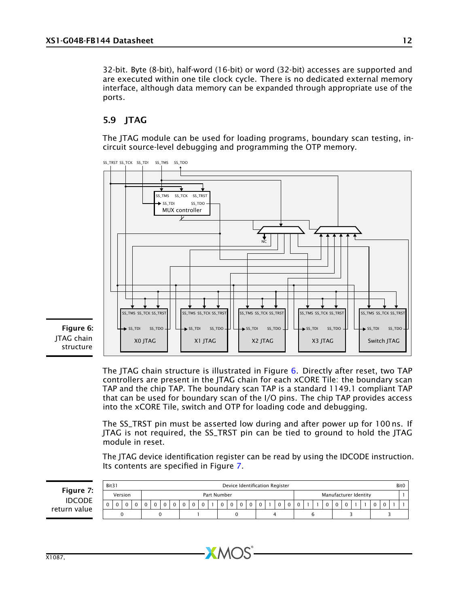32-bit. Byte (8-bit), half-word (16-bit) or word (32-bit) accesses are supported and are executed within one tile clock cycle. There is no dedicated external memory interface, although data memory can be expanded through appropriate use of the ports.

### <span id="page-12-0"></span>5.9 JTAG

The JTAG module can be used for loading programs, boundary scan testing, incircuit source-level debugging and programming the OTP memory.



<span id="page-12-1"></span>Figure 6: JTAG chain structure

> The JTAG chain structure is illustrated in Figure [6.](#page-12-1) Directly after reset, two TAP controllers are present in the JTAG chain for each xCORE Tile: the boundary scan TAP and the chip TAP. The boundary scan TAP is a standard 1149.1 compliant TAP that can be used for boundary scan of the I/O pins. The chip TAP provides access into the xCORE Tile, switch and OTP for loading code and debugging.

> The SS\_TRST pin must be asserted low during and after power up for 100 ns. If JTAG is not required, the SS\_TRST pin can be tied to ground to hold the JTAG module in reset.

> The JTAG device identification register can be read by using the IDCODE instruction. Its contents are specified in Figure [7.](#page-12-2)

<span id="page-12-2"></span>

|                               | Bit31        |             |  |  |  |  |             |             |          |          |          |             |   | Device Identification Register |              |   |  |                       |  |  |  | Bit <sub>0</sub> |
|-------------------------------|--------------|-------------|--|--|--|--|-------------|-------------|----------|----------|----------|-------------|---|--------------------------------|--------------|---|--|-----------------------|--|--|--|------------------|
| Figure 7:                     |              | Version     |  |  |  |  |             | Part Number |          |          |          |             |   |                                |              |   |  | Manufacturer Identity |  |  |  |                  |
| <b>IDCODE</b><br>return value | $\mathbf{0}$ | $\mathbf 0$ |  |  |  |  | $\mathbf 0$ |             | $\Omega$ | $\Omega$ | $\Omega$ | $\mathbf 0$ | 0 | 0                              | $\mathbf{0}$ | 0 |  |                       |  |  |  |                  |
|                               |              |             |  |  |  |  |             |             |          |          |          |             |   |                                |              |   |  |                       |  |  |  |                  |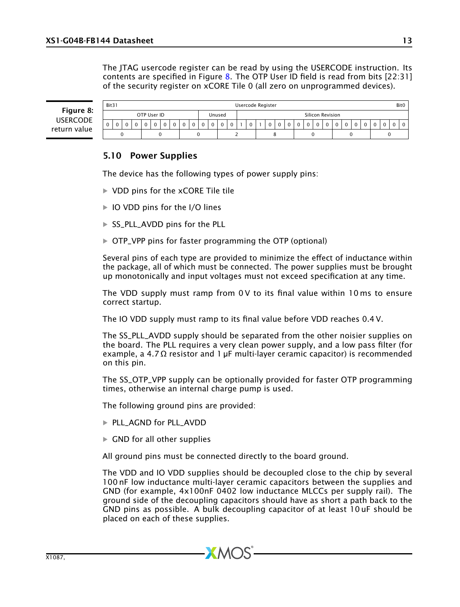The JTAG usercode register can be read by using the USERCODE instruction. Its contents are specified in Figure [8.](#page-13-0) The OTP User ID field is read from bits  $[22:31]$ of the security register on xCORE Tile 0 (all zero on unprogrammed devices).

<span id="page-13-0"></span>Figure 8: USERCODE return value

| Bit31        |   |  |             |          |  |  |        |        |  | Usercode Register |  |                  |  |          |  |  | Bit0 |
|--------------|---|--|-------------|----------|--|--|--------|--------|--|-------------------|--|------------------|--|----------|--|--|------|
|              |   |  | OTP User ID |          |  |  | Unused |        |  |                   |  | Silicon Revision |  |          |  |  |      |
| $\mathbf{0}$ | 0 |  |             | $\Omega$ |  |  |        | $\sim$ |  | $\sim$            |  |                  |  | $\Omega$ |  |  |      |
|              |   |  |             |          |  |  |        |        |  |                   |  |                  |  |          |  |  |      |

### 5.10 Power Supplies

The device has the following types of power supply pins:

- · VDD pins for the xCORE Tile tile
- · IO VDD pins for the I/O lines
- · SS\_PLL\_AVDD pins for the PLL
- · OTP\_VPP pins for faster programming the OTP (optional)

Several pins of each type are provided to minimize the effect of inductance within the package, all of which must be connected. The power supplies must be brought up monotonically and input voltages must not exceed specification at any time.

The VDD supply must ramp from 0 V to its final value within 10 ms to ensure correct startup.

The IO VDD supply must ramp to its final value before VDD reaches 0.4 V.

The SS\_PLL\_AVDD supply should be separated from the other noisier supplies on the board. The PLL requires a very clean power supply, and a low pass filter (for example, a 4.7  $\Omega$  resistor and 1 µF multi-layer ceramic capacitor) is recommended on this pin.

The SS\_OTP\_VPP supply can be optionally provided for faster OTP programming times, otherwise an internal charge pump is used.

The following ground pins are provided:

- · PLL\_AGND for PLL\_AVDD
- $\triangleright$  GND for all other supplies

All ground pins must be connected directly to the board ground.

**XMOS** 

The VDD and IO VDD supplies should be decoupled close to the chip by several 100 nF low inductance multi-layer ceramic capacitors between the supplies and GND (for example, 4x100nF 0402 low inductance MLCCs per supply rail). The ground side of the decoupling capacitors should have as short a path back to the GND pins as possible. A bulk decoupling capacitor of at least 10 uF should be placed on each of these supplies.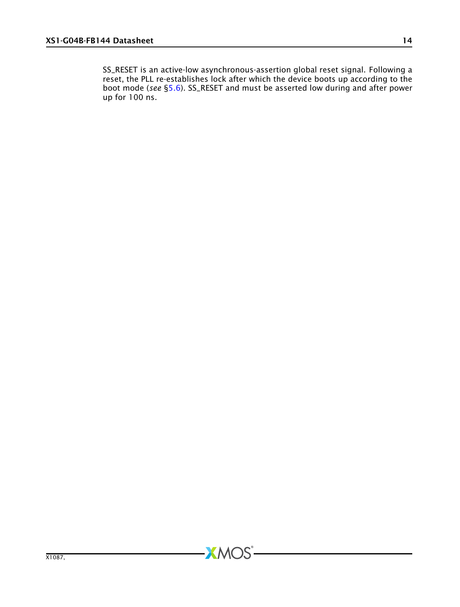SS\_RESET is an active-low asynchronous-assertion global reset signal. Following a reset, the PLL re-establishes lock after which the device boots up according to the boot mode (*see* [§5.6\)](#page-10-0). SS\_RESET and must be asserted low during and after power up for 100 ns.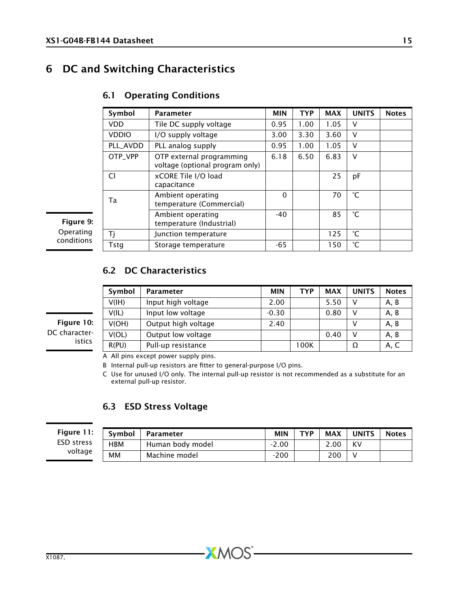## 6 DC and Switching Characteristics

| Symbol       | <b>Parameter</b>                                            | <b>MIN</b> | <b>TYP</b> | <b>MAX</b> | <b>UNITS</b> | <b>Notes</b> |
|--------------|-------------------------------------------------------------|------------|------------|------------|--------------|--------------|
| <b>VDD</b>   | Tile DC supply voltage                                      | 0.95       | 1.00       | 1.05       | v            |              |
| <b>VDDIO</b> | I/O supply voltage                                          | 3.00       | 3.30       | 3.60       | V            |              |
| PLL AVDD     | PLL analog supply                                           | 0.95       | 1.00       | 1.05       | v            |              |
| OTP VPP      | OTP external programming<br>voltage (optional program only) | 6.18       | 6.50       | 6.83       | V            |              |
| Cl           | xCORE Tile I/O load<br>capacitance                          |            |            | 25         | рF           |              |
| Ta           | Ambient operating<br>temperature (Commercial)               | $\Omega$   |            | 70         | °С           |              |
|              | Ambient operating<br>temperature (Industrial)               | -40        |            | 85         | °С           |              |
| Τi           | Junction temperature                                        |            |            | 125        | °С           |              |
| Tstg         | Storage temperature                                         | -65        |            | 150        | °C           |              |

### <span id="page-15-0"></span>6.1 Operating Conditions

Figure 9: Operating conditions

### <span id="page-15-2"></span>6.2 DC Characteristics

| Symbol | <b>Parameter</b>    | <b>MIN</b> | TYP  | <b>MAX</b> | <b>UNITS</b> | <b>Notes</b> |
|--------|---------------------|------------|------|------------|--------------|--------------|
| V(H)   | Input high voltage  | 2.00       |      | 5.50       |              | A, B         |
| V(IL)  | Input low voltage   | $-0.30$    |      | 0.80       |              | A, B         |
| V(OH)  | Output high voltage | 2.40       |      |            |              | A, B         |
| V(OL)  | Output low voltage  |            |      | 0.40       |              | A, B         |
| R(PU)  | Pull-up resistance  |            | 100K |            | Ω            | A, C         |

<span id="page-15-1"></span>Figure 10: DC characteristics

A All pins except power supply pins.

B Internal pull-up resistors are fitter to general-purpose I/O pins.

C Use for unused I/O only. The internal pull-up resistor is not recommended as a substitute for an external pull-up resistor.

### 6.3 ESD Stress Voltage

#### Figure 1 ESD stress voltage

| 1.<br>ι. | Symbol     | Parameter        | <b>MIN</b> | TYP | <b>MAX</b> | <b>UNITS</b> | <b>Notes</b> |
|----------|------------|------------------|------------|-----|------------|--------------|--------------|
| s        | <b>HBM</b> | Human body model | $-2.00$    |     | 2.00       | KV           |              |
| e        | мм         | Machine model    | $-200$     |     | 200        |              |              |

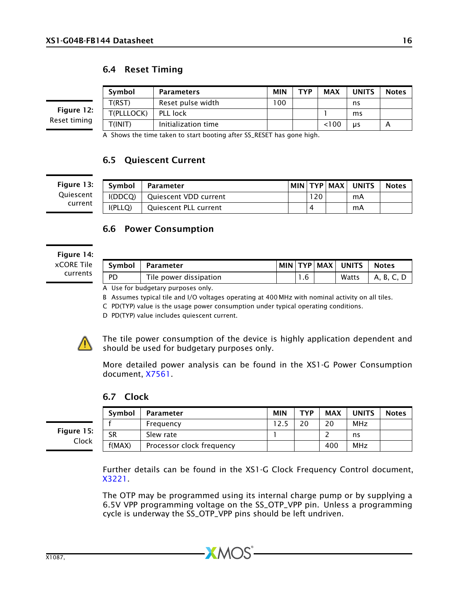### 6.4 Reset Timing

Figure 12: Reset timing

Symbol | Parameters | MIN | TYP | MAX | UNITS | Notes T(RST) Reset pulse width 100 ns T(PLLLOCK) PLL lock 1 ms  $T($ INIT $)$  | Initialization time  $\vert$  |  $\vert$  <100 |  $\mu$ s | A

A Shows the time taken to start booting after SS\_RESET has gone high.

### 6.5 Quiescent Current

Figure 13: **Ouiescent** current

| Symbol  | Parameter                    |     | MIN TYP MAX | <b>UNITS</b> | <b>Notes</b> |
|---------|------------------------------|-----|-------------|--------------|--------------|
| I(DDCO) | Quiescent VDD current        | 120 |             | mA           |              |
| I(PLLO) | <b>Oujescent PLL current</b> |     |             | mA           |              |

### <span id="page-16-0"></span>6.6 Power Consumption

Figure 14: xCORE Tile currents

| Symbol | Parameter              |  | MIN TYP MAX UNITS | <b>Notes</b> |
|--------|------------------------|--|-------------------|--------------|
| PD     | Tile power dissipation |  | Watts             | A. B. C. L   |

A Use for budgetary purposes only.

B Assumes typical tile and I/O voltages operating at 400 MHz with nominal activity on all tiles.

C PD(TYP) value is the usage power consumption under typical operating conditions.

D PD(TYP) value includes quiescent current.



The tile power consumption of the device is highly application dependent and should be used for budgetary purposes only.

More detailed power analysis can be found in the XS1-G Power Consumption document, [X7561.](http://www.xmos.com/published/xs1g_power)

Symbol Parameter MIN TYP MAX UNITS Notes

### 6.7 Clock

Figure 15: Clock

|        | Frequency                 | ם רו | 20  | MHz |  |
|--------|---------------------------|------|-----|-----|--|
| SR     | Slew rate                 |      |     | ns  |  |
| f(MAX) | Processor clock frequency |      | 400 | MHz |  |
|        |                           |      |     |     |  |

Further details can be found in the XS1-G Clock Frequency Control document, [X3221.](http://www.xmos.com/published/xs1g_clk)

The OTP may be programmed using its internal charge pump or by supplying a 6.5V VPP programming voltage on the SS\_OTP\_VPP pin. Unless a programming cycle is underway the SS\_OTP\_VPP pins should be left undriven.

 $X$ M $(S)$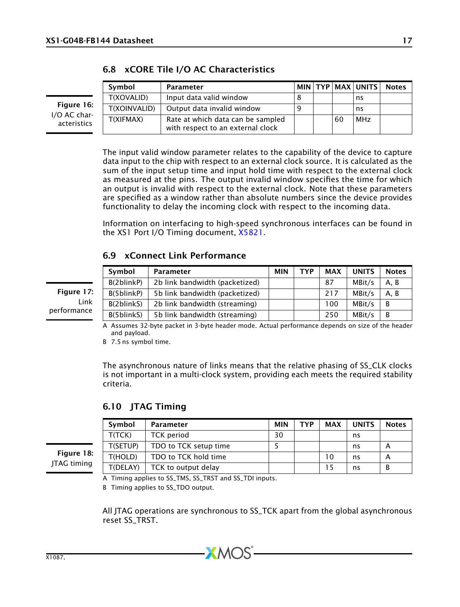|                             | Symbol            | Parameter                                                              |  |    | MIN TYP MAX UNITS | <b>Notes</b> |
|-----------------------------|-------------------|------------------------------------------------------------------------|--|----|-------------------|--------------|
|                             | <b>T(XOVALID)</b> | Input data valid window                                                |  |    | ns                |              |
| Figure 16:                  | T(XOINVALID)      | Output data invalid window                                             |  |    | ns                |              |
| I/O AC char-<br>acteristics | <b>T(XIFMAX)</b>  | Rate at which data can be sampled<br>with respect to an external clock |  | 60 | MHz               |              |

|  |  |  |  | 6.8 xCORE Tile I/O AC Characteristics |
|--|--|--|--|---------------------------------------|
|--|--|--|--|---------------------------------------|

The input valid window parameter relates to the capability of the device to capture data input to the chip with respect to an external clock source. It is calculated as the sum of the input setup time and input hold time with respect to the external clock as measured at the pins. The output invalid window specifies the time for which an output is invalid with respect to the external clock. Note that these parameters are specified as a window rather than absolute numbers since the device provides functionality to delay the incoming clock with respect to the incoming data.

Information on interfacing to high-speed synchronous interfaces can be found in the XS1 Port I/O Timing document, [X5821.](http://www.xmos.com/published/xs1_port_timing)

### 6.9 xConnect Link Performance

<span id="page-17-0"></span>

|             | Symbol     | <b>Parameter</b>               | <b>MIN</b> | <b>TYP</b> | <b>MAX</b> | <b>UNITS</b> | <b>Notes</b> |
|-------------|------------|--------------------------------|------------|------------|------------|--------------|--------------|
|             | B(2blinkP) | 2b link bandwidth (packetized) |            |            | 87         | MBit/s       | A.B          |
| Figure 17:  | B(5blinkP) | 5b link bandwidth (packetized) |            |            | 217        | MBit/s       | A.B          |
| Link        | B(2blinkS) | 2b link bandwidth (streaming)  |            |            | 100        | MBit/s       | B            |
| performance | B(5blinkS) | 5b link bandwidth (streaming)  |            |            | 250        | MBit/s       | B            |

A Assumes 32-byte packet in 3-byte header mode. Actual performance depends on size of the header and payload.

B 7.5 ns symbol time.

The asynchronous nature of links means that the relative phasing of SS\_CLK clocks is not important in a multi-clock system, providing each meets the required stability criteria.

6.10 JTAG Timing

| Symbol   | Parameter             | <b>MIN</b> | TYP | MAX | <b>UNITS</b> | <b>Notes</b> |
|----------|-----------------------|------------|-----|-----|--------------|--------------|
| T(TCK)   | <b>TCK</b> period     | 30         |     |     | ns           |              |
| T(SETUP) | TDO to TCK setup time |            |     |     | ns           |              |
| T(HOLD)  | TDO to TCK hold time  |            |     | 10  | ns           |              |
| T(DELAY) | TCK to output delay   |            |     | 15  | ns           |              |

Figure 18: JTAG timing

A Timing applies to SS\_TMS, SS\_TRST and SS\_TDI inputs.

B Timing applies to SS\_TDO output.

All JTAG operations are synchronous to SS\_TCK apart from the global asynchronous reset SS\_TRST.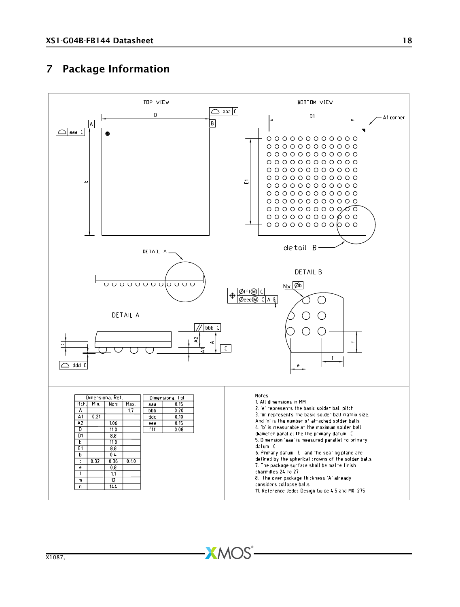## <span id="page-18-0"></span>7 Package Information

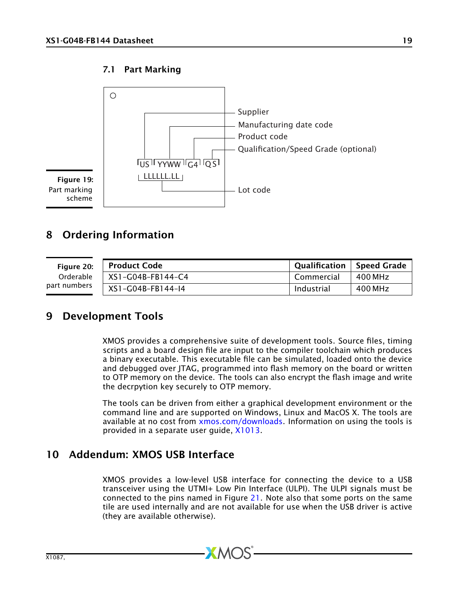### <span id="page-19-3"></span>7.1 Part Marking



<span id="page-19-0"></span>8 Ordering Information

| Figure 20:   | <b>Product Code</b> |            | Qualification   Speed Grade |
|--------------|---------------------|------------|-----------------------------|
| Orderable    | XS1-G04B-FB144-C4   | Commercial | 400 MHz                     |
| part numbers | XS1-G04B-FB144-14   | Industrial | 400 MHz                     |

### 9 Development Tools

<span id="page-19-1"></span>XMOS provides a comprehensive suite of development tools. Source files, timing scripts and a board design file are input to the compiler toolchain which produces a binary executable. This executable file can be simulated, loaded onto the device and debugged over JTAG, programmed into flash memory on the board or written to OTP memory on the device. The tools can also encrypt the flash image and write the decrpytion key securely to OTP memory.

The tools can be driven from either a graphical development environment or the command line and are supported on Windows, Linux and MacOS X. The tools are available at no cost from [xmos.com/downloads.](http://www.xmos.com/downloads) Information on using the tools is provided in a separate user guide, [X1013.](http://www.xmos.com/published/xtools_en)

### 10 Addendum: XMOS USB Interface

<span id="page-19-2"></span>XMOS provides a low-level USB interface for connecting the device to a USB transceiver using the UTMI+ Low Pin Interface (ULPI). The ULPI signals must be connected to the pins named in Figure [21.](#page-20-1) Note also that some ports on the same tile are used internally and are not available for use when the USB driver is active (they are available otherwise).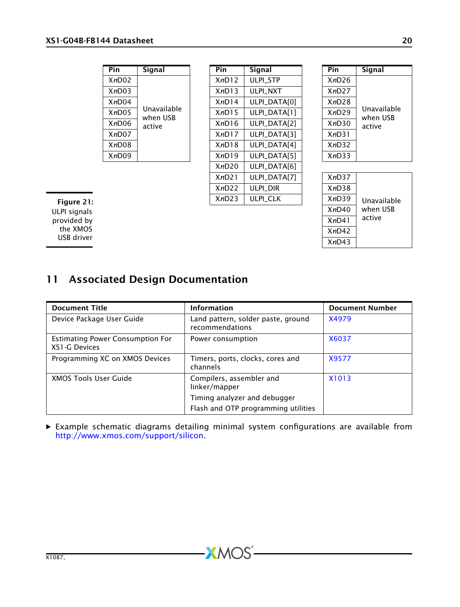| Pin   | Sianal                  |
|-------|-------------------------|
| XnD02 |                         |
| XnD03 |                         |
| XnD04 |                         |
| XnD05 | Unavailable<br>when USB |
| XnD06 | active                  |
| XnD07 |                         |
| XnD08 |                         |
| XnD09 |                         |

| Pin   | Signal                  | Pin   | Signal              | Pin   | Signal           |
|-------|-------------------------|-------|---------------------|-------|------------------|
| XnD02 |                         | XnD12 | <b>ULPI STP</b>     | XnD26 |                  |
| XnD03 |                         | XnD13 | ULPI_NXT            | XnD27 |                  |
| XnD04 |                         | XnD14 | <b>ULPI DATAIOI</b> | XnD28 |                  |
| XnD05 | Unavailable<br>when USB | XnD15 | ULPI_DATA[1]        | XnD29 | Unavai<br>when l |
| XnD06 | active                  | XnD16 | ULPI_DATA[2]        | XnD30 | active           |
| XnD07 |                         | XnD17 | ULPI_DATA[3]        | XnD31 |                  |
| XnD08 |                         | XnD18 | <b>ULPI DATA[4]</b> | XnD32 |                  |
| XnD09 |                         | XnD19 | <b>ULPI DATA[5]</b> | XnD33 |                  |
|       |                         | XnD20 | ULPI_DATA[6]        |       |                  |
|       |                         | XnD21 | ULPI_DATA[7]        | XnD37 |                  |
|       |                         | XnD22 | <b>ULPI DIR</b>     | XnD38 |                  |
|       |                         | XnD23 | <b>ULPI CLK</b>     | XnD39 | Unavai           |
|       |                         |       |                     | XnD40 | when l           |

| Pin   | Signal                  |
|-------|-------------------------|
| XnD26 |                         |
| XnD27 |                         |
| XnD28 |                         |
| XnD29 | Unavailable<br>when USB |
| XnD30 | active                  |
| XnD31 |                         |
| XnD32 |                         |
| XnD33 |                         |

| XnD37 |             |
|-------|-------------|
| XnD38 |             |
| XnD39 | Unavailable |
| XnD40 | when USB    |
| XnD41 | active      |
| XnD42 |             |
| XnD43 |             |
|       |             |

<span id="page-20-1"></span>Figure 21: ULPI signals provided by the XMOS USB driver

# <span id="page-20-0"></span>11 Associated Design Documentation

| <b>Document Title</b>                                    | <b>Information</b>                                                  | <b>Document Number</b> |
|----------------------------------------------------------|---------------------------------------------------------------------|------------------------|
| Device Package User Guide                                | Land pattern, solder paste, ground<br>recommendations               | X4979                  |
| <b>Estimating Power Consumption For</b><br>XS1-G Devices | Power consumption                                                   | X6037                  |
| Programming XC on XMOS Devices                           | Timers, ports, clocks, cores and<br>channels                        | X9577                  |
| <b>XMOS Tools User Guide</b>                             | Compilers, assembler and<br>linker/mapper                           | X1013                  |
|                                                          | Timing analyzer and debugger<br>Flash and OTP programming utilities |                        |

· Example schematic diagrams detailing minimal system configurations are available from [http://www.xmos.com/support/silicon.](http://www.xmos.com/support/silicon)

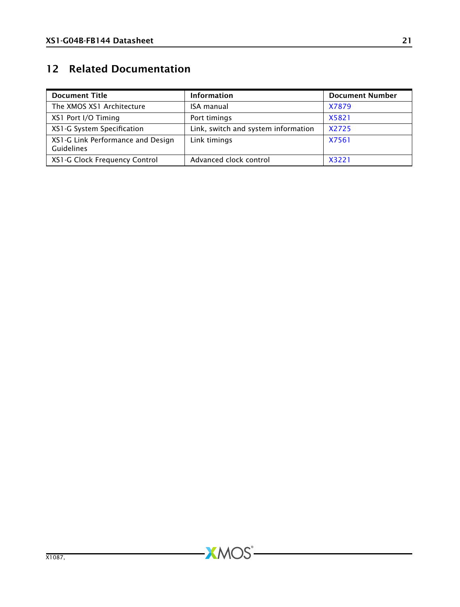# <span id="page-21-0"></span>12 Related Documentation

| <b>Document Title</b>                                  | <b>Information</b>                  | <b>Document Number</b> |
|--------------------------------------------------------|-------------------------------------|------------------------|
| The XMOS XS1 Architecture                              | <b>ISA manual</b>                   | X7879                  |
| XS1 Port I/O Timing                                    | Port timings                        | X5821                  |
| XS1-G System Specification                             | Link, switch and system information | X2725                  |
| XS1-G Link Performance and Design<br><b>Guidelines</b> | Link timings                        | X7561                  |
| XS1-G Clock Frequency Control                          | Advanced clock control              | X3221                  |

 $-XMOS$ -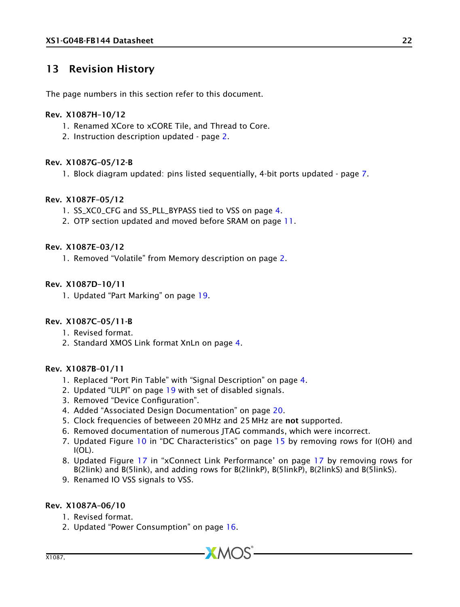## <span id="page-22-0"></span>13 Revision History

The page numbers in this section refer to this document.

#### Rev. X1087H–10/12

- 1. Renamed XCore to xCORE Tile, and Thread to Core.
- 2. Instruction description updated page [2.](#page-2-0)

### Rev. X1087G–05/12-B

1. Block diagram updated: pins listed sequentially, 4-bit ports updated - page [7.](#page-7-0)

### Rev. X1087F–05/12

- 1. SS\_XC0\_CFG and SS\_PLL\_BYPASS tied to VSS on page [4.](#page-4-0)
- 2. OTP section updated and moved before SRAM on page [11.](#page-11-5)

### Rev. X1087E–03/12

1. Removed "Volatile" from Memory description on page [2.](#page-2-0)

### Rev. X1087D–10/11

1. Updated "Part Marking" on page [19.](#page-19-3)

### Rev. X1087C–05/11-B

- 1. Revised format.
- 2. Standard XMOS Link format XnLn on page [4.](#page-4-0)

### Rev. X1087B–01/11

- 1. Replaced "Port Pin Table" with "Signal Description" on page [4.](#page-4-0)
- 2. Updated "ULPI" on page [19](#page-19-2) with set of disabled signals.
- 3. Removed "Device Configuration".
- 4. Added "Associated Design Documentation" on page [20.](#page-20-0)
- 5. Clock frequencies of betweeen 20 MHz and 25 MHz are not supported.
- 6. Removed documentation of numerous JTAG commands, which were incorrect.
- 7. Updated Figure [10](#page-15-1) in "DC Characteristics" on page [15](#page-15-2) by removing rows for I(OH) and I(OL).
- 8. Updated Figure [17](#page-17-0) in "xConnect Link Performance' on page [17](#page-17-0) by removing rows for B(2link) and B(5link), and adding rows for B(2linkP), B(5linkP), B(2linkS) and B(5linkS).
- 9. Renamed IO VSS signals to VSS.

### Rev. X1087A–06/10

- 1. Revised format.
- 2. Updated "Power Consumption" on page [16.](#page-16-0)